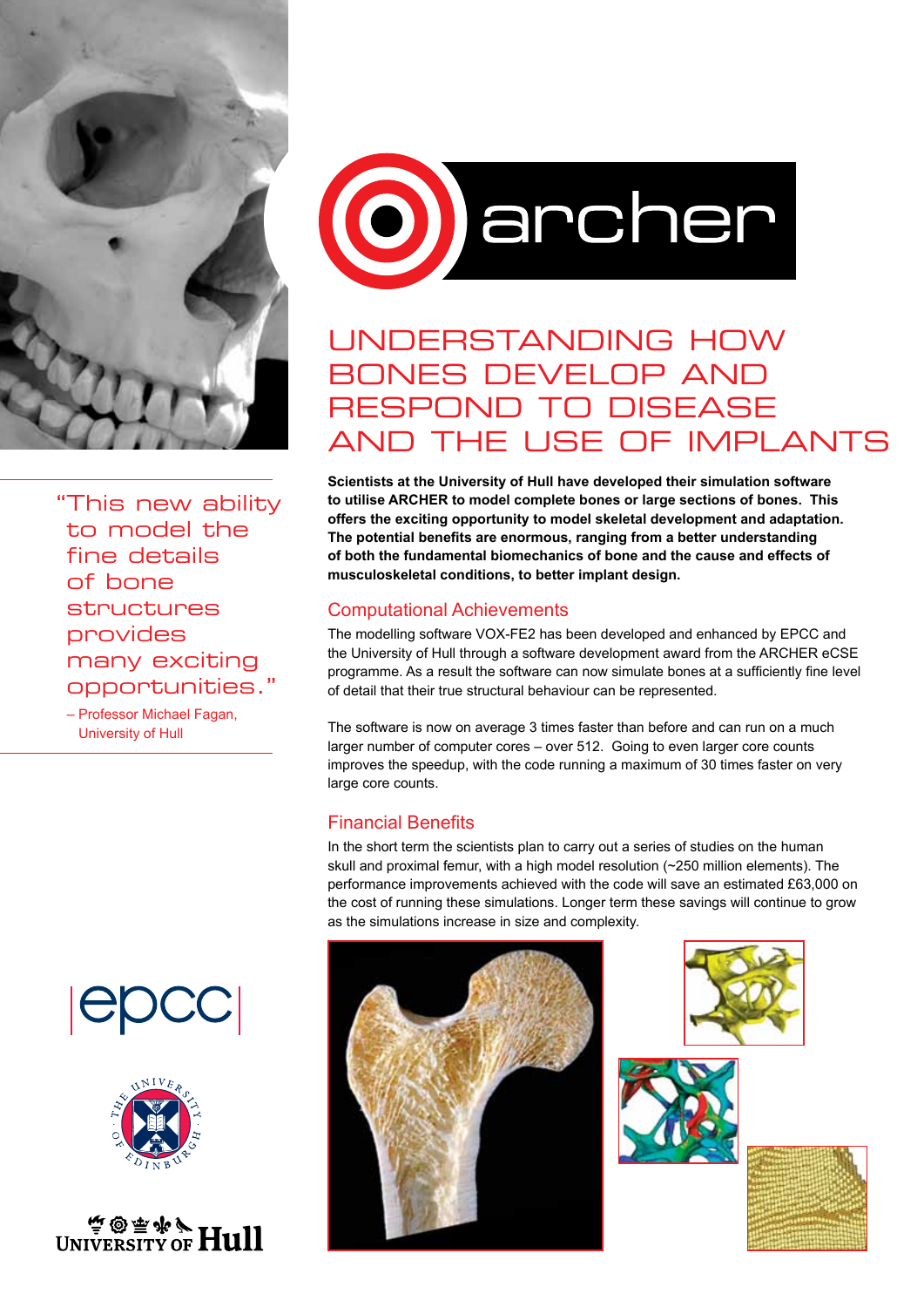

" This new ability to model the fine details of bone structures provides many exciting opportunities."

– Professor Michael Fagan, University of Hull









# Understanding how bones develop and respond to disease and the use of implants

**Scientists at the University of Hull have developed their simulation software to utilise ARCHER to model complete bones or large sections of bones. This offers the exciting opportunity to model skeletal development and adaptation. The potential benefits are enormous, ranging from a better understanding of both the fundamental biomechanics of bone and the cause and effects of musculoskeletal conditions, to better implant design.** 

## Computational Achievements

The modelling software VOX-FE2 has been developed and enhanced by EPCC and the University of Hull through a software development award from the ARCHER eCSE programme. As a result the software can now simulate bones at a sufficiently fine level of detail that their true structural behaviour can be represented.

The software is now on average 3 times faster than before and can run on a much larger number of computer cores – over 512. Going to even larger core counts improves the speedup, with the code running a maximum of 30 times faster on very large core counts.

## Financial Benefits

In the short term the scientists plan to carry out a series of studies on the human skull and proximal femur, with a high model resolution (~250 million elements). The performance improvements achieved with the code will save an estimated £63,000 on the cost of running these simulations. Longer term these savings will continue to grow as the simulations increase in size and complexity.